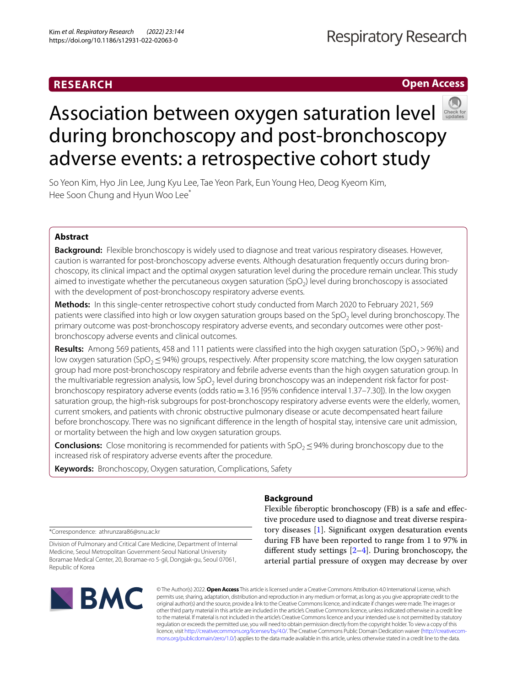## **RESEARCH**

## **Respiratory Research**

**Open Access**

# Association between oxygen saturation level during bronchoscopy and post-bronchoscopy adverse events: a retrospective cohort study

So Yeon Kim, Hyo Jin Lee, Jung Kyu Lee, Tae Yeon Park, Eun Young Heo, Deog Kyeom Kim, Hee Soon Chung and Hyun Woo Lee<sup>\*</sup>

## **Abstract**

**Background:** Flexible bronchoscopy is widely used to diagnose and treat various respiratory diseases. However, caution is warranted for post-bronchoscopy adverse events. Although desaturation frequently occurs during bronchoscopy, its clinical impact and the optimal oxygen saturation level during the procedure remain unclear. This study aimed to investigate whether the percutaneous oxygen saturation  $(SpO<sub>2</sub>)$  level during bronchoscopy is associated with the development of post-bronchoscopy respiratory adverse events.

**Methods:** In this single-center retrospective cohort study conducted from March 2020 to February 2021, 569 patients were classified into high or low oxygen saturation groups based on the SpO<sub>2</sub> level during bronchoscopy. The primary outcome was post-bronchoscopy respiratory adverse events, and secondary outcomes were other postbronchoscopy adverse events and clinical outcomes.

**Results:** Among 569 patients, 458 and 111 patients were classified into the high oxygen saturation (SpO<sub>2</sub>>96%) and low oxygen saturation (SpO<sub>2</sub> ≤ 94%) groups, respectively. After propensity score matching, the low oxygen saturation group had more post-bronchoscopy respiratory and febrile adverse events than the high oxygen saturation group. In the multivariable regression analysis, low  $SpO<sub>2</sub>$  level during bronchoscopy was an independent risk factor for postbronchoscopy respiratory adverse events (odds ratio=3.16 [95% confdence interval 1.37–7.30]). In the low oxygen saturation group, the high-risk subgroups for post-bronchoscopy respiratory adverse events were the elderly, women, current smokers, and patients with chronic obstructive pulmonary disease or acute decompensated heart failure before bronchoscopy. There was no signifcant diference in the length of hospital stay, intensive care unit admission, or mortality between the high and low oxygen saturation groups.

**Conclusions:** Close monitoring is recommended for patients with  $SpO<sub>2</sub>$  ≤ 94% during bronchoscopy due to the increased risk of respiratory adverse events after the procedure.

**Keywords:** Bronchoscopy, Oxygen saturation, Complications, Safety

**Background**

Flexible fberoptic bronchoscopy (FB) is a safe and efective procedure used to diagnose and treat diverse respiratory diseases [[1\]](#page-10-0). Signifcant oxygen desaturation events during FB have been reported to range from 1 to 97% in different study settings  $[2-4]$  $[2-4]$ . During bronchoscopy, the arterial partial pressure of oxygen may decrease by over

\*Correspondence: athrunzara86@snu.ac.kr

Division of Pulmonary and Critical Care Medicine, Department of Internal Medicine, Seoul Metropolitan Government-Seoul National University Boramae Medical Center, 20, Boramae-ro 5-gil, Dongjak-gu, Seoul 07061, Republic of Korea



© The Author(s) 2022. **Open Access** This article is licensed under a Creative Commons Attribution 4.0 International License, which permits use, sharing, adaptation, distribution and reproduction in any medium or format, as long as you give appropriate credit to the original author(s) and the source, provide a link to the Creative Commons licence, and indicate if changes were made. The images or other third party material in this article are included in the article's Creative Commons licence, unless indicated otherwise in a credit line to the material. If material is not included in the article's Creative Commons licence and your intended use is not permitted by statutory regulation or exceeds the permitted use, you will need to obtain permission directly from the copyright holder. To view a copy of this licence, visit [http://creativecommons.org/licenses/by/4.0/.](http://creativecommons.org/licenses/by/4.0/) The Creative Commons Public Domain Dedication waiver ([http://creativecom](http://creativecommons.org/publicdomain/zero/1.0/)[mons.org/publicdomain/zero/1.0/\)](http://creativecommons.org/publicdomain/zero/1.0/) applies to the data made available in this article, unless otherwise stated in a credit line to the data.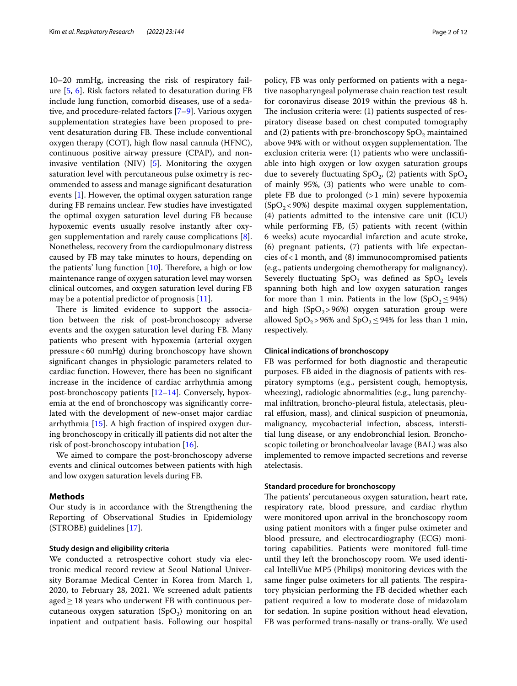10–20 mmHg, increasing the risk of respiratory failure [[5](#page-10-3), [6\]](#page-10-4). Risk factors related to desaturation during FB include lung function, comorbid diseases, use of a sedative, and procedure-related factors [[7–](#page-10-5)[9\]](#page-10-6). Various oxygen supplementation strategies have been proposed to prevent desaturation during FB. These include conventional oxygen therapy  $(COT)$ , high flow nasal cannula (HFNC), continuous positive airway pressure (CPAP), and noninvasive ventilation (NIV) [[5\]](#page-10-3). Monitoring the oxygen saturation level with percutaneous pulse oximetry is recommended to assess and manage signifcant desaturation events [[1\]](#page-10-0). However, the optimal oxygen saturation range during FB remains unclear. Few studies have investigated the optimal oxygen saturation level during FB because hypoxemic events usually resolve instantly after oxygen supplementation and rarely cause complications [\[8](#page-10-7)]. Nonetheless, recovery from the cardiopulmonary distress caused by FB may take minutes to hours, depending on the patients' lung function  $[10]$  $[10]$ . Therefore, a high or low maintenance range of oxygen saturation level may worsen clinical outcomes, and oxygen saturation level during FB may be a potential predictor of prognosis [[11\]](#page-11-1).

There is limited evidence to support the association between the risk of post-bronchoscopy adverse events and the oxygen saturation level during FB. Many patients who present with hypoxemia (arterial oxygen pressure<60 mmHg) during bronchoscopy have shown signifcant changes in physiologic parameters related to cardiac function. However, there has been no signifcant increase in the incidence of cardiac arrhythmia among post-bronchoscopy patients [\[12](#page-11-2)[–14](#page-11-3)]. Conversely, hypoxemia at the end of bronchoscopy was signifcantly correlated with the development of new-onset major cardiac arrhythmia [[15\]](#page-11-4). A high fraction of inspired oxygen during bronchoscopy in critically ill patients did not alter the risk of post-bronchoscopy intubation [\[16](#page-11-5)].

We aimed to compare the post-bronchoscopy adverse events and clinical outcomes between patients with high and low oxygen saturation levels during FB.

## **Methods**

Our study is in accordance with the Strengthening the Reporting of Observational Studies in Epidemiology (STROBE) guidelines [[17\]](#page-11-6).

## **Study design and eligibility criteria**

We conducted a retrospective cohort study via electronic medical record review at Seoul National University Boramae Medical Center in Korea from March 1, 2020, to February 28, 2021. We screened adult patients aged≥18 years who underwent FB with continuous percutaneous oxygen saturation  $(SpO<sub>2</sub>)$  monitoring on an inpatient and outpatient basis. Following our hospital policy, FB was only performed on patients with a negative nasopharyngeal polymerase chain reaction test result for coronavirus disease 2019 within the previous 48 h. The inclusion criteria were:  $(1)$  patients suspected of respiratory disease based on chest computed tomography and (2) patients with pre-bronchoscopy  $SpO<sub>2</sub>$  maintained above 94% with or without oxygen supplementation. The exclusion criteria were: (1) patients who were unclassifable into high oxygen or low oxygen saturation groups due to severely fluctuating  $SpO<sub>2</sub>$ , (2) patients with  $SpO<sub>2</sub>$ of mainly 95%, (3) patients who were unable to complete FB due to prolonged (>1 min) severe hypoxemia  $(SpO<sub>2</sub>< 90%)$  despite maximal oxygen supplementation, (4) patients admitted to the intensive care unit (ICU) while performing FB, (5) patients with recent (within 6 weeks) acute myocardial infarction and acute stroke, (6) pregnant patients, (7) patients with life expectancies of<1 month, and (8) immunocompromised patients (e.g., patients undergoing chemotherapy for malignancy). Severely fluctuating  $SpO<sub>2</sub>$  was defined as  $SpO<sub>2</sub>$  levels spanning both high and low oxygen saturation ranges for more than 1 min. Patients in the low  $(SpO<sub>2</sub>≤94%)$ and high  $(SpO<sub>2</sub>>96%)$  oxygen saturation group were allowed SpO<sub>2</sub>>96% and SpO<sub>2</sub>≤94% for less than 1 min, respectively.

## **Clinical indications of bronchoscopy**

FB was performed for both diagnostic and therapeutic purposes. FB aided in the diagnosis of patients with respiratory symptoms (e.g., persistent cough, hemoptysis, wheezing), radiologic abnormalities (e.g., lung parenchymal infltration, broncho-pleural fstula, atelectasis, pleural efusion, mass), and clinical suspicion of pneumonia, malignancy, mycobacterial infection, abscess, interstitial lung disease, or any endobronchial lesion. Bronchoscopic toileting or bronchoalveolar lavage (BAL) was also implemented to remove impacted secretions and reverse atelectasis.

## **Standard procedure for bronchoscopy**

The patients' percutaneous oxygen saturation, heart rate, respiratory rate, blood pressure, and cardiac rhythm were monitored upon arrival in the bronchoscopy room using patient monitors with a fnger pulse oximeter and blood pressure, and electrocardiography (ECG) monitoring capabilities. Patients were monitored full-time until they left the bronchoscopy room. We used identical IntelliVue MP5 (Philips) monitoring devices with the same finger pulse oximeters for all patients. The respiratory physician performing the FB decided whether each patient required a low to moderate dose of midazolam for sedation. In supine position without head elevation, FB was performed trans-nasally or trans-orally. We used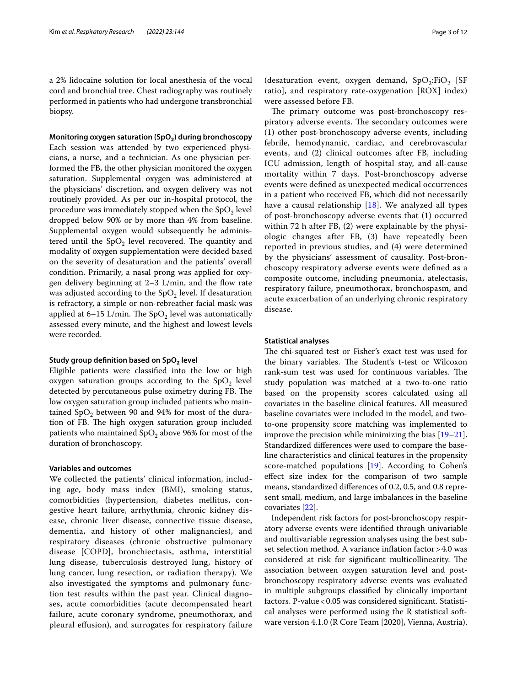a 2% lidocaine solution for local anesthesia of the vocal cord and bronchial tree. Chest radiography was routinely performed in patients who had undergone transbronchial biopsy.

**Monitoring oxygen saturation (SpO2) during bronchoscopy** Each session was attended by two experienced physicians, a nurse, and a technician. As one physician performed the FB, the other physician monitored the oxygen saturation. Supplemental oxygen was administered at the physicians' discretion, and oxygen delivery was not routinely provided. As per our in-hospital protocol, the procedure was immediately stopped when the  $SpO<sub>2</sub>$  level dropped below 90% or by more than 4% from baseline. Supplemental oxygen would subsequently be administered until the  $SpO<sub>2</sub>$  level recovered. The quantity and modality of oxygen supplementation were decided based on the severity of desaturation and the patients' overall condition. Primarily, a nasal prong was applied for oxygen delivery beginning at  $2-3$  L/min, and the flow rate was adjusted according to the  $SpO<sub>2</sub>$  level. If desaturation is refractory, a simple or non-rebreather facial mask was applied at  $6-15$  L/min. The SpO<sub>2</sub> level was automatically assessed every minute, and the highest and lowest levels were recorded.

#### **Study group defnition based on SpO2 level**

Eligible patients were classifed into the low or high oxygen saturation groups according to the  $SpO<sub>2</sub>$  level detected by percutaneous pulse oximetry during FB. The low oxygen saturation group included patients who maintained  $SpO<sub>2</sub>$  between 90 and 94% for most of the duration of FB. The high oxygen saturation group included patients who maintained  $SpO<sub>2</sub>$  above 96% for most of the duration of bronchoscopy.

## **Variables and outcomes**

We collected the patients' clinical information, including age, body mass index (BMI), smoking status, comorbidities (hypertension, diabetes mellitus, congestive heart failure, arrhythmia, chronic kidney disease, chronic liver disease, connective tissue disease, dementia, and history of other malignancies), and respiratory diseases (chronic obstructive pulmonary disease [COPD], bronchiectasis, asthma, interstitial lung disease, tuberculosis destroyed lung, history of lung cancer, lung resection, or radiation therapy). We also investigated the symptoms and pulmonary function test results within the past year. Clinical diagnoses, acute comorbidities (acute decompensated heart failure, acute coronary syndrome, pneumothorax, and pleural efusion), and surrogates for respiratory failure

(desaturation event, oxygen demand,  $SpO<sub>2</sub>:FiO<sub>2</sub>$  [SF ratio], and respiratory rate-oxygenation [ROX] index) were assessed before FB.

The primary outcome was post-bronchoscopy respiratory adverse events. The secondary outcomes were (1) other post-bronchoscopy adverse events, including febrile, hemodynamic, cardiac, and cerebrovascular events, and (2) clinical outcomes after FB, including ICU admission, length of hospital stay, and all-cause mortality within 7 days. Post-bronchoscopy adverse events were defned as unexpected medical occurrences in a patient who received FB, which did not necessarily have a causal relationship [[18\]](#page-11-7). We analyzed all types of post-bronchoscopy adverse events that (1) occurred within 72 h after FB, (2) were explainable by the physiologic changes after FB, (3) have repeatedly been reported in previous studies, and (4) were determined by the physicians' assessment of causality. Post-bronchoscopy respiratory adverse events were defned as a composite outcome, including pneumonia, atelectasis, respiratory failure, pneumothorax, bronchospasm, and acute exacerbation of an underlying chronic respiratory disease.

## **Statistical analyses**

The chi-squared test or Fisher's exact test was used for the binary variables. The Student's t-test or Wilcoxon rank-sum test was used for continuous variables. The study population was matched at a two-to-one ratio based on the propensity scores calculated using all covariates in the baseline clinical features. All measured baseline covariates were included in the model, and twoto-one propensity score matching was implemented to improve the precision while minimizing the bias [[19](#page-11-8)[–21](#page-11-9)]. Standardized diferences were used to compare the baseline characteristics and clinical features in the propensity score-matched populations [\[19](#page-11-8)]. According to Cohen's efect size index for the comparison of two sample means, standardized diferences of 0.2, 0.5, and 0.8 represent small, medium, and large imbalances in the baseline covariates [\[22](#page-11-10)].

Independent risk factors for post-bronchoscopy respiratory adverse events were identifed through univariable and multivariable regression analyses using the best subset selection method. A variance inflation factor > 4.0 was considered at risk for significant multicollinearity. The association between oxygen saturation level and postbronchoscopy respiratory adverse events was evaluated in multiple subgroups classifed by clinically important factors. P-value < 0.05 was considered significant. Statistical analyses were performed using the R statistical software version 4.1.0 (R Core Team [2020], Vienna, Austria).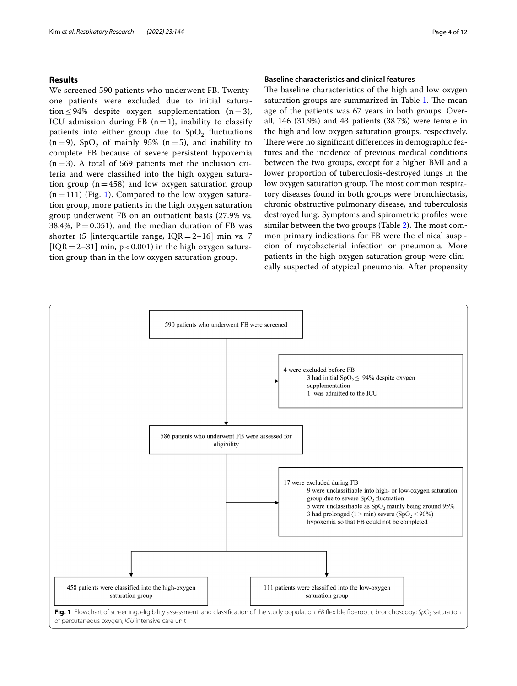## **Results**

We screened 590 patients who underwent FB. Twentyone patients were excluded due to initial saturation  $\leq$  94% despite oxygen supplementation (n=3), ICU admission during FB  $(n=1)$ , inability to classify patients into either group due to  $SpO<sub>2</sub>$  fluctuations  $(n=9)$ , SpO<sub>2</sub> of mainly 95%  $(n=5)$ , and inability to complete FB because of severe persistent hypoxemia  $(n=3)$ . A total of 569 patients met the inclusion criteria and were classifed into the high oxygen saturation group ( $n=458$ ) and low oxygen saturation group  $(n=111)$  $(n=111)$  (Fig. 1). Compared to the low oxygen saturation group, more patients in the high oxygen saturation group underwent FB on an outpatient basis (27.9% vs*.* 38.4%,  $P = 0.051$ ), and the median duration of FB was shorter (5 [interquartile range, IQR=2–16] min vs*.* 7  $[IQR = 2-31]$  min, p < 0.001) in the high oxygen saturation group than in the low oxygen saturation group.

## **Baseline characteristics and clinical features**

The baseline characteristics of the high and low oxygen saturation groups are summarized in Table [1.](#page-4-0) The mean age of the patients was 67 years in both groups. Overall, 146 (31.9%) and 43 patients (38.7%) were female in the high and low oxygen saturation groups, respectively. There were no significant differences in demographic features and the incidence of previous medical conditions between the two groups, except for a higher BMI and a lower proportion of tuberculosis-destroyed lungs in the low oxygen saturation group. The most common respiratory diseases found in both groups were bronchiectasis, chronic obstructive pulmonary disease, and tuberculosis destroyed lung. Symptoms and spirometric profles were similar between the two groups (Table  $2$ ). The most common primary indications for FB were the clinical suspicion of mycobacterial infection or pneumonia*.* More patients in the high oxygen saturation group were clinically suspected of atypical pneumonia. After propensity

<span id="page-3-0"></span>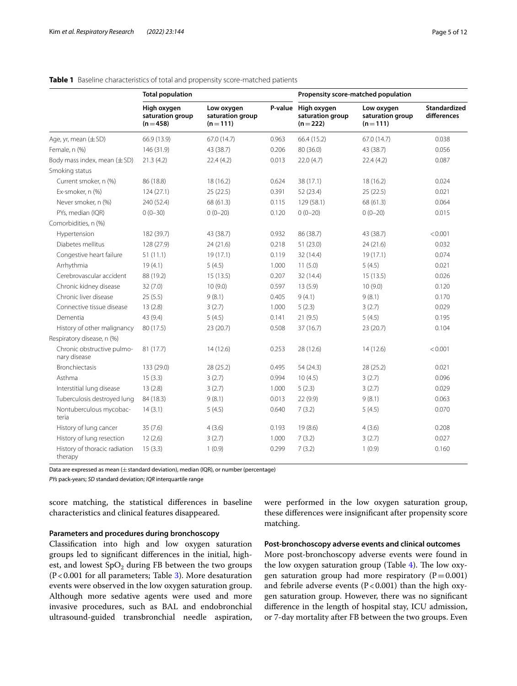|                                            | <b>Total population</b>                      |                                             |         | Propensity score-matched population          |                                             |                                    |  |
|--------------------------------------------|----------------------------------------------|---------------------------------------------|---------|----------------------------------------------|---------------------------------------------|------------------------------------|--|
|                                            | High oxygen<br>saturation group<br>$(n=458)$ | Low oxygen<br>saturation group<br>$(n=111)$ | P-value | High oxygen<br>saturation group<br>$(n=222)$ | Low oxygen<br>saturation group<br>$(n=111)$ | <b>Standardized</b><br>differences |  |
| Age, yr, mean (±SD)                        | 66.9 (13.9)                                  | 67.0 (14.7)                                 | 0.963   | 66.4 (15.2)                                  | 67.0 (14.7)                                 | 0.038                              |  |
| Female, n (%)                              | 146 (31.9)                                   | 43 (38.7)                                   | 0.206   | 80 (36.0)                                    | 43 (38.7)                                   | 0.056                              |  |
| Body mass index, mean $(\pm SD)$           | 21.3(4.2)                                    | 22.4(4.2)                                   | 0.013   | 22.0(4.7)                                    | 22.4(4.2)                                   | 0.087                              |  |
| Smoking status                             |                                              |                                             |         |                                              |                                             |                                    |  |
| Current smoker, n (%)                      | 86 (18.8)                                    | 18 (16.2)                                   | 0.624   | 38 (17.1)                                    | 18 (16.2)                                   | 0.024                              |  |
| Ex-smoker, n (%)                           | 124(27.1)                                    | 25(22.5)                                    | 0.391   | 52 (23.4)                                    | 25(22.5)                                    | 0.021                              |  |
| Never smoker, n (%)                        | 240 (52.4)                                   | 68 (61.3)                                   | 0.115   | 129 (58.1)                                   | 68 (61.3)                                   | 0.064                              |  |
| PYs, median (IQR)                          | $0(0-30)$                                    | $0(0-20)$                                   | 0.120   | $0(0-20)$                                    | $0(0-20)$                                   | 0.015                              |  |
| Comorbidities, n (%)                       |                                              |                                             |         |                                              |                                             |                                    |  |
| Hypertension                               | 182 (39.7)                                   | 43 (38.7)                                   | 0.932   | 86 (38.7)                                    | 43 (38.7)                                   | < 0.001                            |  |
| Diabetes mellitus                          | 128 (27.9)                                   | 24(21.6)                                    | 0.218   | 51(23.0)                                     | 24(21.6)                                    | 0.032                              |  |
| Congestive heart failure                   | 51(11.1)                                     | 19(17.1)                                    | 0.119   | 32 (14.4)                                    | 19(17.1)                                    | 0.074                              |  |
| Arrhythmia                                 | 19(4.1)                                      | 5(4.5)                                      | 1.000   | 11(5.0)                                      | 5(4.5)                                      | 0.021                              |  |
| Cerebrovascular accident                   | 88 (19.2)                                    | 15(13.5)                                    | 0.207   | 32 (14.4)                                    | 15(13.5)                                    | 0.026                              |  |
| Chronic kidney disease                     | 32 (7.0)                                     | 10 (9.0)                                    | 0.597   | 13(5.9)                                      | 10(9.0)                                     | 0.120                              |  |
| Chronic liver disease                      | 25(5.5)                                      | 9(8.1)                                      | 0.405   | 9(4.1)                                       | 9(8.1)                                      | 0.170                              |  |
| Connective tissue disease                  | 13(2.8)                                      | 3(2.7)                                      | 1.000   | 5(2.3)                                       | 3(2.7)                                      | 0.029                              |  |
| Dementia                                   | 43 (9.4)                                     | 5(4.5)                                      | 0.141   | 21(9.5)                                      | 5(4.5)                                      | 0.195                              |  |
| History of other malignancy                | 80 (17.5)                                    | 23 (20.7)                                   | 0.508   | 37 (16.7)                                    | 23(20.7)                                    | 0.104                              |  |
| Respiratory disease, n (%)                 |                                              |                                             |         |                                              |                                             |                                    |  |
| Chronic obstructive pulmo-<br>nary disease | 81 (17.7)                                    | 14(12.6)                                    | 0.253   | 28 (12.6)                                    | 14(12.6)                                    | < 0.001                            |  |
| <b>Bronchiectasis</b>                      | 133 (29.0)                                   | 28 (25.2)                                   | 0.495   | 54 (24.3)                                    | 28 (25.2)                                   | 0.021                              |  |
| Asthma                                     | 15(3.3)                                      | 3(2.7)                                      | 0.994   | 10(4.5)                                      | 3(2.7)                                      | 0.096                              |  |
| Interstitial lung disease                  | 13(2.8)                                      | 3(2.7)                                      | 1.000   | 5(2.3)                                       | 3(2.7)                                      | 0.029                              |  |
| Tuberculosis destroyed lung                | 84 (18.3)                                    | 9(8.1)                                      | 0.013   | 22 (9.9)                                     | 9(8.1)                                      | 0.063                              |  |
| Nontuberculous mycobac-<br>teria           | 14(3.1)                                      | 5(4.5)                                      | 0.640   | 7(3.2)                                       | 5(4.5)                                      | 0.070                              |  |
| History of lung cancer                     | 35 (7.6)                                     | 4(3.6)                                      | 0.193   | 19(8.6)                                      | 4(3.6)                                      | 0.208                              |  |
| History of lung resection                  | 12(2.6)                                      | 3(2.7)                                      | 1.000   | 7(3.2)                                       | 3(2.7)                                      | 0.027                              |  |
| History of thoracic radiation<br>therapy   | 15(3.3)                                      | 1(0.9)                                      | 0.299   | 7(3.2)                                       | 1(0.9)                                      | 0.160                              |  |

## <span id="page-4-0"></span>**Table 1** Baseline characteristics of total and propensity score-matched patients

Data are expressed as mean  $(\pm$  standard deviation), median (IQR), or number (percentage)

*PYs* pack-years; *SD* standard deviation; *IQR* interquartile range

score matching, the statistical diferences in baseline characteristics and clinical features disappeared.

## **Parameters and procedures during bronchoscopy**

Classifcation into high and low oxygen saturation groups led to signifcant diferences in the initial, highest, and lowest  $SpO<sub>2</sub>$  during FB between the two groups  $(P<0.001$  for all parameters; Table [3](#page-6-0)). More desaturation events were observed in the low oxygen saturation group. Although more sedative agents were used and more invasive procedures, such as BAL and endobronchial ultrasound-guided transbronchial needle aspiration, were performed in the low oxygen saturation group, these diferences were insignifcant after propensity score matching.

**Post‑bronchoscopy adverse events and clinical outcomes**

More post-bronchoscopy adverse events were found in the low oxygen saturation group (Table [4\)](#page-6-1). The low oxygen saturation group had more respiratory ( $P=0.001$ ) and febrile adverse events  $(P < 0.001)$  than the high oxygen saturation group. However, there was no signifcant diference in the length of hospital stay, ICU admission, or 7-day mortality after FB between the two groups. Even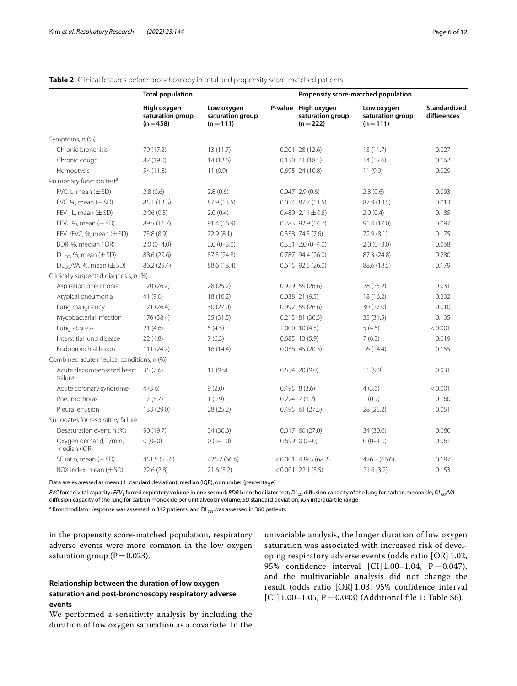| Page 6 of |
|-----------|
|           |

|                                               | <b>Total population</b>                      |                                             |  | Propensity score-matched population                  |                                             |                                    |  |
|-----------------------------------------------|----------------------------------------------|---------------------------------------------|--|------------------------------------------------------|---------------------------------------------|------------------------------------|--|
|                                               | High oxygen<br>saturation group<br>$(n=458)$ | Low oxygen<br>saturation group<br>$(n=111)$ |  | P-value High oxygen<br>saturation group<br>$(n=222)$ | Low oxygen<br>saturation group<br>$(n=111)$ | <b>Standardized</b><br>differences |  |
| Symptoms, n (%)                               |                                              |                                             |  |                                                      |                                             |                                    |  |
| Chronic bronchitis                            | 79 (17.2)                                    | 13 (11.7)                                   |  | $0.201$ 28 (12.6)                                    | 13 (11.7)                                   | 0.027                              |  |
| Chronic cough                                 | 87 (19.0)                                    | 14(12.6)                                    |  | $0.150$ 41 (18.5)                                    | 14(12.6)                                    | 0.162                              |  |
| Hemoptysis                                    | 54 (11.8)                                    | 11(9.9)                                     |  | $0.695$ 24 (10.8)                                    | 11(9.9)                                     | 0.029                              |  |
| Pulmonary function test <sup>a</sup>          |                                              |                                             |  |                                                      |                                             |                                    |  |
| $FVC, L, mean (\pm SD)$                       | 2.8(0.6)                                     | 2.8(0.6)                                    |  | $0.947$ 2.9 (0.6)                                    | 2.8(0.6)                                    | 0.093                              |  |
| FVC, %, mean $(\pm SD)$                       | 85.1 (13.5)                                  | 87.9 (13.5)                                 |  | $0.054$ 87.7 (11.5)                                  | 87.9 (13.5)                                 | 0.013                              |  |
| $FEV_1$ , L, mean $(\pm SD)$                  | 2.06(0.5)                                    | 2.0(0.4)                                    |  | 0.489 $2.11 \pm 0.5$                                 | 2.0(0.4)                                    | 0.185                              |  |
| $FEV1$ , %, mean ( $\pm$ SD)                  | 89.5 (16.7)                                  | 91.4 (16.9)                                 |  | $0.283$ 92.9 (14.7)                                  | 91.4 (17.0)                                 | 0.097                              |  |
| $FEV1/FVC, %$ , mean $(\pm SD)$               | 73.8 (8.9)                                   | 72.9(8.1)                                   |  | $0.338$ 74.3 (7.6)                                   | 72.9(8.1)                                   | 0.175                              |  |
| BDR, %, median (IQR)                          | $2.0(0-4.0)$                                 | $2.0(0-3.0)$                                |  | $0.351$ $2.0(0-4.0)$                                 | $2.0(0-3.0)$                                | 0.068                              |  |
| $DLCO$ %, mean ( $\pm$ SD)                    | 88.6 (29.6)                                  | 87.3 (24.8)                                 |  | $0.787$ 94.4 (26.0)                                  | 87.3 (24.8)                                 | 0.280                              |  |
| $DL_{CO}$ /VA, %, mean ( $\pm$ SD)            | 86.2 (29.4)                                  | 88.6 (18.4)                                 |  | $0.615$ 92.5 (26.0)                                  | 88.6 (18.5)                                 | 0.179                              |  |
| Clinically suspected diagnosis, n (%)         |                                              |                                             |  |                                                      |                                             |                                    |  |
| Aspiration pneumonia                          | 120 (26.2)                                   | 28 (25.2)                                   |  | $0.929$ 59 (26.6)                                    | 28 (25.2)                                   | 0.031                              |  |
| Atypical pneumonia                            | 41(9.0)                                      | 18(16.2)                                    |  | $0.038$ 21 (9.5)                                     | 18(16.2)                                    | 0.202                              |  |
| Lung malignancy                               | 121 (26.4)                                   | 30(27.0)                                    |  | $0.992$ 59 (26.6)                                    | 30(27.0)                                    | 0.010                              |  |
| Mycobacterial infection                       | 176 (38.4)                                   | 35(31.5)                                    |  | $0.215$ 81 (36.5)                                    | 35(31.5)                                    | 0.105                              |  |
| Lung abscess                                  | 21(4.6)                                      | 5(4.5)                                      |  | $1.000$ 10 (4.5)                                     | 5(4.5)                                      | < 0.001                            |  |
| Interstitial lung disease                     | 22(4.8)                                      | 7(6.3)                                      |  | $0.685$ 13 (5.9)                                     | 7(6.3)                                      | 0.019                              |  |
| Endobronchial lesion                          | 111(24.2)                                    | 16(14.4)                                    |  | $0.036$ 45 (20.3)                                    | 16(14.4)                                    | 0.155                              |  |
| Combined acute medical conditions, n (%)      |                                              |                                             |  |                                                      |                                             |                                    |  |
| Acute decompensated heart 35 (7.6)<br>failure |                                              | 11(9.9)                                     |  | $0.554$ 20 (9.0)                                     | 11(9.9)                                     | 0.031                              |  |
| Acute coronary syndrome                       | 4(3.6)                                       | 9(2.0)                                      |  | $0.495$ $8(3.6)$                                     | 4(3.6)                                      | < 0.001                            |  |
| Pneumothorax                                  | 17(3.7)                                      | 1(0.9)                                      |  | $0.224$ 7 (3.2)                                      | 1(0.9)                                      | 0.160                              |  |
| Pleural effusion                              | 133 (29.0)                                   | 28 (25.2)                                   |  | 0.495 61 (27.5)                                      | 28 (25.2)                                   | 0.051                              |  |
| Surrogates for respiratory failure            |                                              |                                             |  |                                                      |                                             |                                    |  |
| Desaturation event, n (%)                     | 90 (19.7)                                    | 34 (30.6)                                   |  | $0.017$ 60 (27.0)                                    | 34 (30.6)                                   | 0.080                              |  |
| Oxygen demand, L/min,<br>median (IQR)         | $0(0-0)$                                     | $0(0-1.0)$                                  |  | $0.699$ $0(0-0)$                                     | $0(0-1.0)$                                  | 0.061                              |  |
| SF ratio, mean $(\pm SD)$                     | 451.5 (53.6)                                 | 426.2 (66.6)                                |  | $< 0.001$ 439.5 (68.2)                               | 426.2 (66.6)                                | 0.197                              |  |
| ROX index, mean $(\pm SD)$                    | 22.6(2.8)                                    | 21.6(3.2)                                   |  | $< 0.001$ 22.1 (3.5)                                 | 21.6(3.2)                                   | 0.153                              |  |

## <span id="page-5-0"></span>**Table 2** Clinical features before bronchoscopy in total and propensity score-matched patients

Data are expressed as mean  $(\pm$  standard deviation), median (IQR), or number (percentage)

*FVC* forced vital capacity; *FEV*<sub>1</sub> forced expiratory volume in one second; *BDR* bronchodilator test; *DL<sub>CO</sub>* diffusion capacity of the lung for carbon monoxide; *DL<sub>CO</sub>*/VA difusion capacity of the lung for carbon monoxide per unit alveolar volume; *SD* standard deviation; *IQR* interquartile range

 $^{\rm a}$  Bronchodilator response was assessed in 342 patients, and DL $_{\rm CO}$  was assessed in 360 patients

in the propensity score-matched population, respiratory adverse events were more common in the low oxygen saturation group ( $P = 0.023$ ).

## **Relationship between the duration of low oxygen saturation and post‑bronchoscopy respiratory adverse events**

We performed a sensitivity analysis by including the duration of low oxygen saturation as a covariate. In the

univariable analysis, the longer duration of low oxygen saturation was associated with increased risk of developing respiratory adverse events (odds ratio [OR] 1.02, 95% confidence interval [CI]  $1.00-1.04$ , P = 0.047), and the multivariable analysis did not change the result (odds ratio [OR] 1.03, 95% confidence interval [CI]  $1.00-1.05$ , P = 0.043) (Additional file [1:](#page-10-8) Table S6).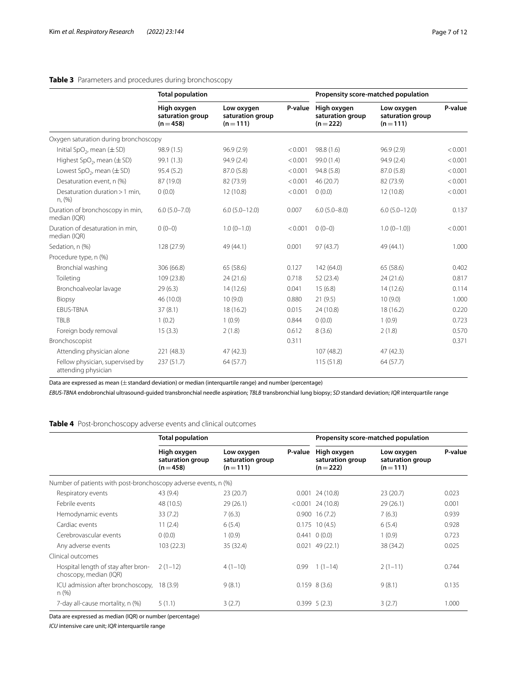## <span id="page-6-0"></span>**Table 3** Parameters and procedures during bronchoscopy

|                                                        | <b>Total population</b>                      |                                             |         | Propensity score-matched population          |                                             |         |
|--------------------------------------------------------|----------------------------------------------|---------------------------------------------|---------|----------------------------------------------|---------------------------------------------|---------|
|                                                        | High oxygen<br>saturation group<br>$(n=458)$ | Low oxygen<br>saturation group<br>$(n=111)$ | P-value | High oxygen<br>saturation group<br>$(n=222)$ | Low oxygen<br>saturation group<br>$(n=111)$ | P-value |
| Oxygen saturation during bronchoscopy                  |                                              |                                             |         |                                              |                                             |         |
| Initial SpO <sub>2</sub> , mean $(\pm$ SD)             | 98.9 (1.5)                                   | 96.9(2.9)                                   | < 0.001 | 98.8 (1.6)                                   | 96.9(2.9)                                   | < 0.001 |
| Highest SpO <sub>2</sub> , mean $(\pm$ SD)             | 99.1 (1.3)                                   | 94.9 (2.4)                                  | < 0.001 | 99.0 (1.4)                                   | 94.9(2.4)                                   | < 0.001 |
| Lowest $SpO2$ , mean ( $\pm$ SD)                       | 95.4(5.2)                                    | 87.0 (5.8)                                  | < 0.001 | 94.8 (5.8)                                   | 87.0 (5.8)                                  | < 0.001 |
| Desaturation event. n (%)                              | 87 (19.0)                                    | 82 (73.9)                                   | < 0.001 | 46 (20.7)                                    | 82 (73.9)                                   | < 0.001 |
| Desaturation duration > 1 min,<br>n, (%)               | 0(0.0)                                       | 12 (10.8)                                   | < 0.001 | 0(0.0)                                       | 12(10.8)                                    | < 0.001 |
| Duration of bronchoscopy in min,<br>median (IQR)       | $6.0(5.0 - 7.0)$                             | $6.0 (5.0 - 12.0)$                          | 0.007   | $6.0(5.0 - 8.0)$                             | $6.0 (5.0 - 12.0)$                          | 0.137   |
| Duration of desaturation in min,<br>median (IQR)       | $0(0-0)$                                     | $1.0(0-1.0)$                                | < 0.001 | $0(0-0)$                                     | $1.0(0-1.0)$                                | < 0.001 |
| Sedation, n (%)                                        | 128 (27.9)                                   | 49 (44.1)                                   | 0.001   | 97(43.7)                                     | 49 (44.1)                                   | 1.000   |
| Procedure type, n (%)                                  |                                              |                                             |         |                                              |                                             |         |
| Bronchial washing                                      | 306 (66.8)                                   | 65 (58.6)                                   | 0.127   | 142(64.0)                                    | 65 (58.6)                                   | 0.402   |
| Toileting                                              | 109 (23.8)                                   | 24 (21.6)                                   | 0.718   | 52(23.4)                                     | 24(21.6)                                    | 0.817   |
| Bronchoalveolar lavage                                 | 29(6.3)                                      | 14 (12.6)                                   | 0.041   | 15(6.8)                                      | 14(12.6)                                    | 0.114   |
| Biopsy                                                 | 46 (10.0)                                    | 10(9.0)                                     | 0.880   | 21(9.5)                                      | 10(9.0)                                     | 1.000   |
| <b>EBUS-TBNA</b>                                       | 37(8.1)                                      | 18 (16.2)                                   | 0.015   | 24 (10.8)                                    | 18 (16.2)                                   | 0.220   |
| <b>TBLB</b>                                            | 1(0.2)                                       | 1(0.9)                                      | 0.844   | 0(0.0)                                       | 1(0.9)                                      | 0.723   |
| Foreign body removal                                   | 15(3.3)                                      | 2(1.8)                                      | 0.612   | 8(3.6)                                       | 2(1.8)                                      | 0.570   |
| Bronchoscopist                                         |                                              |                                             | 0.311   |                                              |                                             | 0.371   |
| Attending physician alone                              | 221 (48.3)                                   | 47 (42.3)                                   |         | 107 (48.2)                                   | 47(42.3)                                    |         |
| Fellow physician, supervised by<br>attending physician | 237 (51.7)                                   | 64 (57.7)                                   |         | 115(51.8)                                    | 64 (57.7)                                   |         |

Data are expressed as mean (±standard deviation) or median (interquartile range) and number (percentage)

*EBUS-TBNA* endobronchial ultrasound-guided transbronchial needle aspiration; *TBLB* transbronchial lung biopsy; *SD* standard deviation; *IQR* interquartile range

## <span id="page-6-1"></span>**Table 4** Post-bronchoscopy adverse events and clinical outcomes

|                                                                 | <b>Total population</b>                      |                                             |         | Propensity score-matched population          |                                             |         |
|-----------------------------------------------------------------|----------------------------------------------|---------------------------------------------|---------|----------------------------------------------|---------------------------------------------|---------|
|                                                                 | High oxygen<br>saturation group<br>$(n=458)$ | Low oxygen<br>saturation group<br>$(n=111)$ | P-value | High oxygen<br>saturation group<br>$(n=222)$ | Low oxygen<br>saturation group<br>$(n=111)$ | P-value |
| Number of patients with post-bronchoscopy adverse events, n (%) |                                              |                                             |         |                                              |                                             |         |
| Respiratory events                                              | 43 (9.4)                                     | 23(20.7)                                    |         | $0.001$ 24 (10.8)                            | 23(20.7)                                    | 0.023   |
| Febrile events                                                  | 48 (10.5)                                    | 29(26.1)                                    |         | $< 0.001$ 24 (10.8)                          | 29(26.1)                                    | 0.001   |
| Hemodynamic events                                              | 33(7.2)                                      | 7(6.3)                                      |         | $0.900$ 16 (7.2)                             | 7(6.3)                                      | 0.939   |
| Cardiac events                                                  | 11(2.4)                                      | 6(5.4)                                      |         | $0.175$ 10 (4.5)                             | 6(5.4)                                      | 0.928   |
| Cerebrovascular events                                          | 0(0.0)                                       | 1(0.9)                                      |         | $0.441 \quad 0(0.0)$                         | 1(0.9)                                      | 0.723   |
| Any adverse events                                              | 103(22.3)                                    | 35 (32.4)                                   |         | $0.021$ 49 (22.1)                            | 38 (34.2)                                   | 0.025   |
| Clinical outcomes                                               |                                              |                                             |         |                                              |                                             |         |
| Hospital length of stay after bron-<br>choscopy, median (IQR)   | $2(1-12)$                                    | $4(1-10)$                                   | 0.99    | $1(1-14)$                                    | $2(1-11)$                                   | 0.744   |
| ICU admission after bronchoscopy,<br>n (%)                      | 18(3.9)                                      | 9(8.1)                                      |         | $0.159$ 8 (3.6)                              | 9(8.1)                                      | 0.135   |
| 7-day all-cause mortality, n (%)                                | 5(1.1)                                       | 3(2.7)                                      |         | 0.3995(2.3)                                  | 3(2.7)                                      | 1.000   |

Data are expressed as median (IQR) or number (percentage)

*ICU* intensive care unit; *IQR* interquartile range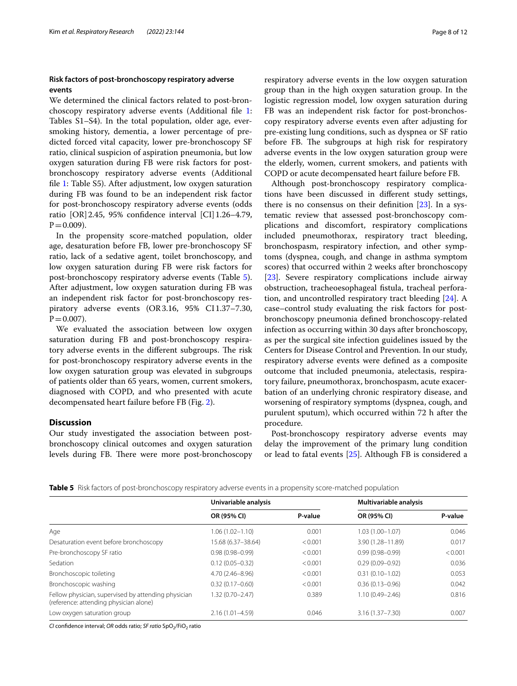## **Risk factors of post‑bronchoscopy respiratory adverse events**

We determined the clinical factors related to post-bronchoscopy respiratory adverse events (Additional fle [1](#page-10-8): Tables S1–S4). In the total population, older age, eversmoking history, dementia, a lower percentage of predicted forced vital capacity, lower pre-bronchoscopy SF ratio, clinical suspicion of aspiration pneumonia, but low oxygen saturation during FB were risk factors for postbronchoscopy respiratory adverse events (Additional fle [1:](#page-10-8) Table S5). After adjustment, low oxygen saturation during FB was found to be an independent risk factor for post-bronchoscopy respiratory adverse events (odds ratio [OR] 2.45, 95% confidence interval [CI] 1.26-4.79,  $P = 0.009$ ).

In the propensity score-matched population, older age, desaturation before FB, lower pre-bronchoscopy SF ratio, lack of a sedative agent, toilet bronchoscopy, and low oxygen saturation during FB were risk factors for post-bronchoscopy respiratory adverse events (Table [5](#page-7-0)). After adjustment, low oxygen saturation during FB was an independent risk factor for post-bronchoscopy respiratory adverse events (OR3.16, 95% CI1.37–7.30,  $P = 0.007$ ).

We evaluated the association between low oxygen saturation during FB and post-bronchoscopy respiratory adverse events in the different subgroups. The risk for post-bronchoscopy respiratory adverse events in the low oxygen saturation group was elevated in subgroups of patients older than 65 years, women, current smokers, diagnosed with COPD, and who presented with acute decompensated heart failure before FB (Fig. [2](#page-8-0)).

## **Discussion**

Our study investigated the association between postbronchoscopy clinical outcomes and oxygen saturation levels during FB. There were more post-bronchoscopy respiratory adverse events in the low oxygen saturation group than in the high oxygen saturation group. In the logistic regression model, low oxygen saturation during FB was an independent risk factor for post-bronchoscopy respiratory adverse events even after adjusting for pre-existing lung conditions, such as dyspnea or SF ratio before FB. The subgroups at high risk for respiratory adverse events in the low oxygen saturation group were the elderly, women, current smokers, and patients with COPD or acute decompensated heart failure before FB.

Although post-bronchoscopy respiratory complications have been discussed in diferent study settings, there is no consensus on their defnition [\[23](#page-11-11)]. In a systematic review that assessed post-bronchoscopy complications and discomfort, respiratory complications included pneumothorax, respiratory tract bleeding, bronchospasm, respiratory infection, and other symptoms (dyspnea, cough, and change in asthma symptom scores) that occurred within 2 weeks after bronchoscopy [[23\]](#page-11-11). Severe respiratory complications include airway obstruction, tracheoesophageal fstula, tracheal perforation, and uncontrolled respiratory tract bleeding [\[24\]](#page-11-12). A case–control study evaluating the risk factors for postbronchoscopy pneumonia defned bronchoscopy-related infection as occurring within 30 days after bronchoscopy, as per the surgical site infection guidelines issued by the Centers for Disease Control and Prevention. In our study, respiratory adverse events were defned as a composite outcome that included pneumonia, atelectasis, respiratory failure, pneumothorax, bronchospasm, acute exacerbation of an underlying chronic respiratory disease, and worsening of respiratory symptoms (dyspnea, cough, and purulent sputum), which occurred within 72 h after the procedure.

Post-bronchoscopy respiratory adverse events may delay the improvement of the primary lung condition or lead to fatal events [[25\]](#page-11-13). Although FB is considered a

<span id="page-7-0"></span>

| <b>Table 5</b> Risk factors of post-bronchoscopy respiratory adverse events in a propensity score-matched population |  |  |  |  |  |  |
|----------------------------------------------------------------------------------------------------------------------|--|--|--|--|--|--|
|----------------------------------------------------------------------------------------------------------------------|--|--|--|--|--|--|

|                                                                                               | Univariable analysis |         | Multivariable analysis |         |
|-----------------------------------------------------------------------------------------------|----------------------|---------|------------------------|---------|
|                                                                                               | OR (95% CI)          | P-value | OR (95% CI)            | P-value |
| Age                                                                                           | $1.06(1.02 - 1.10)$  | 0.001   | $1.03(1.00 - 1.07)$    | 0.046   |
| Desaturation event before bronchoscopy                                                        | 15.68 (6.37-38.64)   | < 0.001 | 3.90 (1.28-11.89)      | 0.017   |
| Pre-bronchoscopy SF ratio                                                                     | $0.98(0.98 - 0.99)$  | < 0.001 | $0.99(0.98 - 0.99)$    | < 0.001 |
| Sedation                                                                                      | $0.12(0.05 - 0.32)$  | < 0.001 | $0.29(0.09 - 0.92)$    | 0.036   |
| Bronchoscopic toileting                                                                       | $4.70(2.46 - 8.96)$  | < 0.001 | $0.31(0.10 - 1.02)$    | 0.053   |
| Bronchoscopic washing                                                                         | $0.32(0.17 - 0.60)$  | < 0.001 | $0.36(0.13 - 0.96)$    | 0.042   |
| Fellow physician, supervised by attending physician<br>(reference: attending physician alone) | $1.32(0.70 - 2.47)$  | 0.389   | $1.10(0.49 - 2.46)$    | 0.816   |
| Low oxygen saturation group                                                                   | $2.16(1.01 - 4.59)$  | 0.046   | $3.16(1.37 - 7.30)$    | 0.007   |

*CI* confidence interval; *OR* odds ratio; *SF ratio* SpO<sub>2</sub>/FiO<sub>2</sub> ratio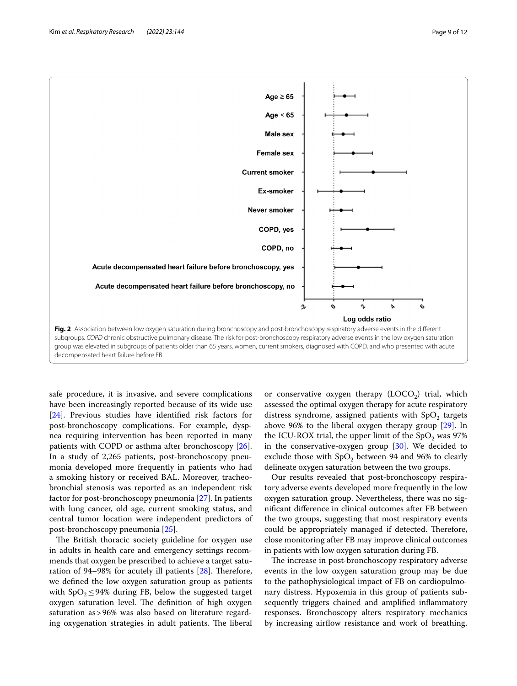

<span id="page-8-0"></span>safe procedure, it is invasive, and severe complications have been increasingly reported because of its wide use [[24\]](#page-11-12). Previous studies have identifed risk factors for post-bronchoscopy complications. For example, dyspnea requiring intervention has been reported in many patients with COPD or asthma after bronchoscopy [\[26](#page-11-14)]. In a study of 2,265 patients, post-bronchoscopy pneumonia developed more frequently in patients who had a smoking history or received BAL. Moreover, tracheobronchial stenosis was reported as an independent risk factor for post-bronchoscopy pneumonia [[27](#page-11-15)]. In patients with lung cancer, old age, current smoking status, and central tumor location were independent predictors of post-bronchoscopy pneumonia [[25](#page-11-13)].

The British thoracic society guideline for oxygen use in adults in health care and emergency settings recommends that oxygen be prescribed to achieve a target saturation of 94–98% for acutely ill patients  $[28]$  $[28]$ . Therefore, we defned the low oxygen saturation group as patients with  $SpO<sub>2</sub>$  ≤ 94% during FB, below the suggested target oxygen saturation level. The definition of high oxygen saturation as>96% was also based on literature regarding oxygenation strategies in adult patients. The liberal or conservative oxygen therapy  $(LOCO<sub>2</sub>)$  trial, which assessed the optimal oxygen therapy for acute respiratory distress syndrome, assigned patients with  $SpO<sub>2</sub>$  targets above 96% to the liberal oxygen therapy group [[29\]](#page-11-17). In the ICU-ROX trial, the upper limit of the  $SpO<sub>2</sub>$  was 97% in the conservative-oxygen group  $[30]$  $[30]$ . We decided to exclude those with  $SpO<sub>2</sub>$  between 94 and 96% to clearly delineate oxygen saturation between the two groups.

Our results revealed that post-bronchoscopy respiratory adverse events developed more frequently in the low oxygen saturation group. Nevertheless, there was no signifcant diference in clinical outcomes after FB between the two groups, suggesting that most respiratory events could be appropriately managed if detected. Therefore, close monitoring after FB may improve clinical outcomes in patients with low oxygen saturation during FB.

The increase in post-bronchoscopy respiratory adverse events in the low oxygen saturation group may be due to the pathophysiological impact of FB on cardiopulmonary distress. Hypoxemia in this group of patients subsequently triggers chained and amplifed infammatory responses. Bronchoscopy alters respiratory mechanics by increasing airfow resistance and work of breathing.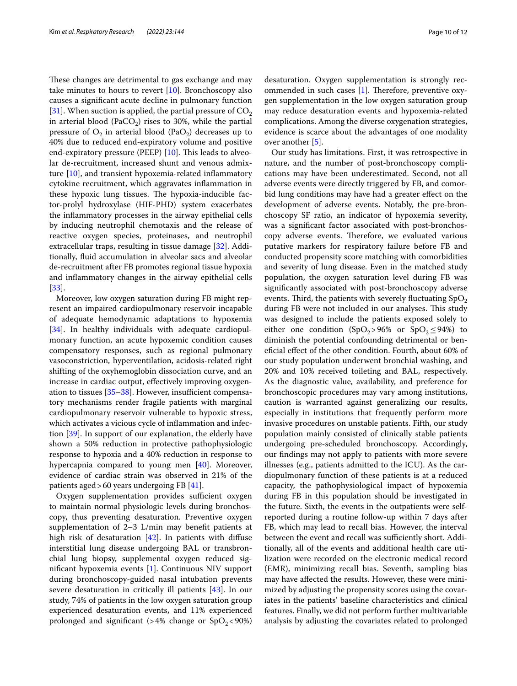These changes are detrimental to gas exchange and may take minutes to hours to revert  $[10]$  $[10]$ . Bronchoscopy also causes a signifcant acute decline in pulmonary function [[31\]](#page-11-19). When suction is applied, the partial pressure of  $CO<sub>2</sub>$ in arterial blood (PaCO<sub>2</sub>) rises to 30%, while the partial pressure of  $O_2$  in arterial blood (PaO<sub>2</sub>) decreases up to 40% due to reduced end-expiratory volume and positive end-expiratory pressure (PEEP)  $[10]$  $[10]$  $[10]$ . This leads to alveolar de-recruitment, increased shunt and venous admixture [[10](#page-11-0)], and transient hypoxemia-related infammatory cytokine recruitment, which aggravates infammation in these hypoxic lung tissues. The hypoxia-inducible factor-prolyl hydroxylase (HIF-PHD) system exacerbates the infammatory processes in the airway epithelial cells by inducing neutrophil chemotaxis and the release of reactive oxygen species, proteinases, and neutrophil extracellular traps, resulting in tissue damage [[32\]](#page-11-20). Additionally, fuid accumulation in alveolar sacs and alveolar de-recruitment after FB promotes regional tissue hypoxia and infammatory changes in the airway epithelial cells [[33\]](#page-11-21).

Moreover, low oxygen saturation during FB might represent an impaired cardiopulmonary reservoir incapable of adequate hemodynamic adaptations to hypoxemia [[34\]](#page-11-22). In healthy individuals with adequate cardiopulmonary function, an acute hypoxemic condition causes compensatory responses, such as regional pulmonary vasoconstriction, hyperventilation, acidosis-related right shifting of the oxyhemoglobin dissociation curve, and an increase in cardiac output, efectively improving oxygenation to tissues  $[35-38]$  $[35-38]$ . However, insufficient compensatory mechanisms render fragile patients with marginal cardiopulmonary reservoir vulnerable to hypoxic stress, which activates a vicious cycle of infammation and infection [\[39](#page-11-25)]. In support of our explanation, the elderly have shown a 50% reduction in protective pathophysiologic response to hypoxia and a 40% reduction in response to hypercapnia compared to young men [\[40](#page-11-26)]. Moreover, evidence of cardiac strain was observed in 21% of the patients aged>60 years undergoing FB [[41](#page-11-27)].

Oxygen supplementation provides sufficient oxygen to maintain normal physiologic levels during bronchoscopy, thus preventing desaturation. Preventive oxygen supplementation of 2–3 L/min may beneft patients at high risk of desaturation  $[42]$  $[42]$ . In patients with diffuse interstitial lung disease undergoing BAL or transbronchial lung biopsy, supplemental oxygen reduced signifcant hypoxemia events [\[1\]](#page-10-0). Continuous NIV support during bronchoscopy-guided nasal intubation prevents severe desaturation in critically ill patients [\[43](#page-11-29)]. In our study, 74% of patients in the low oxygen saturation group experienced desaturation events, and 11% experienced prolonged and significant (>4% change or  $SpO<sub>2</sub>$ <90%)

desaturation. Oxygen supplementation is strongly recommended in such cases  $[1]$  $[1]$ . Therefore, preventive oxygen supplementation in the low oxygen saturation group may reduce desaturation events and hypoxemia-related complications. Among the diverse oxygenation strategies, evidence is scarce about the advantages of one modality over another [\[5](#page-10-3)].

Our study has limitations. First, it was retrospective in nature, and the number of post-bronchoscopy complications may have been underestimated. Second, not all adverse events were directly triggered by FB, and comorbid lung conditions may have had a greater effect on the development of adverse events. Notably, the pre-bronchoscopy SF ratio, an indicator of hypoxemia severity, was a signifcant factor associated with post-bronchoscopy adverse events. Therefore, we evaluated various putative markers for respiratory failure before FB and conducted propensity score matching with comorbidities and severity of lung disease. Even in the matched study population, the oxygen saturation level during FB was signifcantly associated with post-bronchoscopy adverse events. Third, the patients with severely fluctuating  $SpO<sub>2</sub>$ during FB were not included in our analyses. This study was designed to include the patients exposed solely to either one condition (SpO<sub>2</sub>>96% or SpO<sub>2</sub> $\leq$ 94%) to diminish the potential confounding detrimental or benefcial efect of the other condition. Fourth, about 60% of our study population underwent bronchial washing, and 20% and 10% received toileting and BAL, respectively. As the diagnostic value, availability, and preference for bronchoscopic procedures may vary among institutions, caution is warranted against generalizing our results, especially in institutions that frequently perform more invasive procedures on unstable patients. Fifth, our study population mainly consisted of clinically stable patients undergoing pre-scheduled bronchoscopy. Accordingly, our fndings may not apply to patients with more severe illnesses (e.g., patients admitted to the ICU). As the cardiopulmonary function of these patients is at a reduced capacity, the pathophysiological impact of hypoxemia during FB in this population should be investigated in the future. Sixth, the events in the outpatients were selfreported during a routine follow-up within 7 days after FB, which may lead to recall bias. However, the interval between the event and recall was sufficiently short. Additionally, all of the events and additional health care utilization were recorded on the electronic medical record (EMR), minimizing recall bias. Seventh, sampling bias may have afected the results. However, these were minimized by adjusting the propensity scores using the covariates in the patients' baseline characteristics and clinical features. Finally, we did not perform further multivariable analysis by adjusting the covariates related to prolonged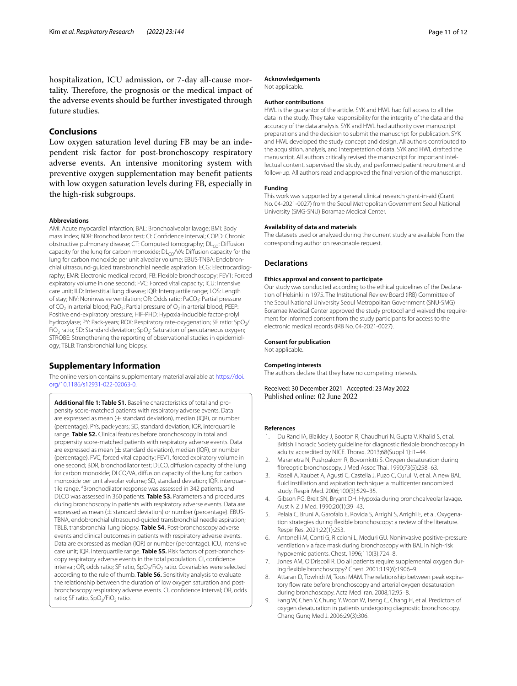hospitalization, ICU admission, or 7-day all-cause mortality. Therefore, the prognosis or the medical impact of the adverse events should be further investigated through future studies.

## **Conclusions**

Low oxygen saturation level during FB may be an independent risk factor for post-bronchoscopy respiratory adverse events. An intensive monitoring system with preventive oxygen supplementation may beneft patients with low oxygen saturation levels during FB, especially in the high-risk subgroups.

#### **Abbreviations**

AMI: Acute myocardial infarction; BAL: Bronchoalveolar lavage; BMI: Body mass index; BDR: Bronchodilator test; CI: Confdence interval; COPD: Chronic obstructive pulmonary disease; CT: Computed tomography; DL<sub>CO</sub>: Diffusion capacity for the lung for carbon monoxide;  $DL<sub>CO</sub>/VA$ : Diffusion capacity for the lung for carbon monoxide per unit alveolar volume; EBUS-TNBA: Endobronchial ultrasound-guided transbronchial needle aspiration; ECG: Electrocardiography; EMR: Electronic medical record; FB: Flexible bronchoscopy; FEV1: Forced expiratory volume in one second; FVC: Forced vital capacity; ICU: Intensive care unit; ILD: Interstitial lung disease; IQR: Interquartile range; LOS: Length of stay; NIV: Noninvasive ventilation; OR: Odds ratio; PaCO<sub>2</sub>: Partial pressure of  $CO<sub>2</sub>$  in arterial blood; PaO<sub>2</sub>: Partial pressure of  $O<sub>2</sub>$  in arterial blood; PEEP: Positive end-expiratory pressure; HIF-PHD: Hypoxia-inducible factor-prolyl hydroxylase; PY: Pack-years; ROX: Respiratory rate-oxygenation; SF ratio: SpO<sub>2</sub>/ FiO<sub>2</sub> ratio; SD: Standard deviation; SpO<sub>2</sub>: Saturation of percutaneous oxygen; STROBE: Strengthening the reporting of observational studies in epidemiology; TBLB: Transbronchial lung biopsy.

## **Supplementary Information**

The online version contains supplementary material available at [https://doi.](https://doi.org/10.1186/s12931-022-02063-0) [org/10.1186/s12931-022-02063-0](https://doi.org/10.1186/s12931-022-02063-0).

<span id="page-10-8"></span>**Additional fle 1: Table S1.** Baseline characteristics of total and propensity score-matched patients with respiratory adverse events. Data are expressed as mean  $(\pm$  standard deviation), median (IQR), or number (percentage). PYs, pack-years; SD, standard deviation; IQR, interquartile range. **Table S2.** Clinical features before bronchoscopy in total and propensity score-matched patients with respiratory adverse events. Data are expressed as mean ( $\pm$  standard deviation), median (IQR), or number (percentage). FVC, forced vital capacity; FEV1, forced expiratory volume in one second; BDR, bronchodilator test; DLCO, difusion capacity of the lung for carbon monoxide; DLCO/VA, difusion capacity of the lung for carbon monoxide per unit alveolar volume; SD, standard deviation; IOR, interquartile range. <sup>a</sup>Bronchodilator response was assessed in 342 patients, and DLCO was assessed in 360 patients. **Table S3.** Parameters and procedures during bronchoscopy in patients with respiratory adverse events. Data are expressed as mean ( $\pm$  standard deviation) or number (percentage). EBUS-TBNA, endobronchial ultrasound-guided transbronchial needle aspiration; TBLB, transbronchial lung biopsy. **Table S4.** Post-bronchoscopy adverse events and clinical outcomes in patients with respiratory adverse events. Data are expressed as median (IQR) or number (percentage). ICU, intensive care unit; IQR, interquartile range. **Table S5.** Risk factors of post-bronchoscopy respiratory adverse events in the total population. CI, confdence interval; OR, odds ratio; SF ratio, SpO<sub>2</sub>/FiO<sub>2</sub> ratio. Covariables were selected according to the rule of thumb. **Table S6.** Sensitivity analysis to evaluate the relationship between the duration of low oxygen saturation and postbronchoscopy respiratory adverse events. CI, confdence interval; OR, odds ratio; SF ratio, SpO<sub>2</sub>/FiO<sub>2</sub> ratio.

#### **Acknowledgements**

Not applicable.

## **Author contributions**

HWL is the guarantor of the article. SYK and HWL had full access to all the data in the study. They take responsibility for the integrity of the data and the accuracy of the data analysis. SYK and HWL had authority over manuscript preparations and the decision to submit the manuscript for publication. SYK and HWL developed the study concept and design. All authors contributed to the acquisition, analysis, and interpretation of data. SYK and HWL drafted the manuscript. All authors critically revised the manuscript for important intellectual content, supervised the study, and performed patient recruitment and follow-up. All authors read and approved the fnal version of the manuscript.

#### **Funding**

This work was supported by a general clinical research grant-in-aid (Grant No. 04-2021-0027) from the Seoul Metropolitan Government Seoul National University (SMG-SNU) Boramae Medical Center.

#### **Availability of data and materials**

The datasets used or analyzed during the current study are available from the corresponding author on reasonable request.

#### **Declarations**

#### **Ethics approval and consent to participate**

Our study was conducted according to the ethical guidelines of the Declaration of Helsinki in 1975. The Institutional Review Board (IRB) Committee of the Seoul National University Seoul Metropolitan Government (SNU-SMG) Boramae Medical Center approved the study protocol and waived the requirement for informed consent from the study participants for access to the electronic medical records (IRB No. 04-2021-0027).

## **Consent for publication**

Not applicable.

#### **Competing interests**

The authors declare that they have no competing interests.

Received: 30 December 2021 Accepted: 23 May 2022

#### **References**

- <span id="page-10-0"></span>1. Du Rand IA, Blaikley J, Booton R, Chaudhuri N, Gupta V, Khalid S, et al. British Thoracic Society guideline for diagnostic fexible bronchoscopy in adults: accredited by NICE. Thorax. 2013;68(Suppl 1):i1–44.
- <span id="page-10-1"></span>2. Maranetra N, Pushpakom R, Bovornkitti S. Oxygen desaturation during fbreoptic bronchoscopy. J Med Assoc Thai. 1990;73(5):258–63.
- 3. Rosell A, Xaubet A, Agusti C, Castella J, Puzo C, Curull V, et al. A new BAL fuid instillation and aspiration technique: a multicenter randomized study. Respir Med. 2006;100(3):529–35.
- <span id="page-10-2"></span>4. Gibson PG, Breit SN, Bryant DH. Hypoxia during bronchoalveolar lavage. Aust N Z J Med. 1990;20(1):39–43.
- <span id="page-10-3"></span>5. Pelaia C, Bruni A, Garofalo E, Rovida S, Arrighi S, Arrighi E, et al. Oxygenation strategies during fexible bronchoscopy: a review of the literature. Respir Res. 2021;22(1):253.
- <span id="page-10-4"></span>6. Antonelli M, Conti G, Riccioni L, Meduri GU. Noninvasive positive-pressure ventilation via face mask during bronchoscopy with BAL in high-risk hypoxemic patients. Chest. 1996;110(3):724–8.
- <span id="page-10-5"></span>Jones AM, O'Driscoll R. Do all patients require supplemental oxygen during fexible bronchoscopy? Chest. 2001;119(6):1906–9.
- <span id="page-10-7"></span>8. Attaran D, Towhidi M, Toosi MAM. The relationship between peak expiratory flow rate before bronchoscopy and arterial oxygen desaturation during bronchoscopy. Acta Med Iran. 2008;12:95–8.
- <span id="page-10-6"></span>9. Fang W, Chen Y, Chung Y, Woon W, Tseng C, Chang H, et al. Predictors of oxygen desaturation in patients undergoing diagnostic bronchoscopy. Chang Gung Med J. 2006;29(3):306.